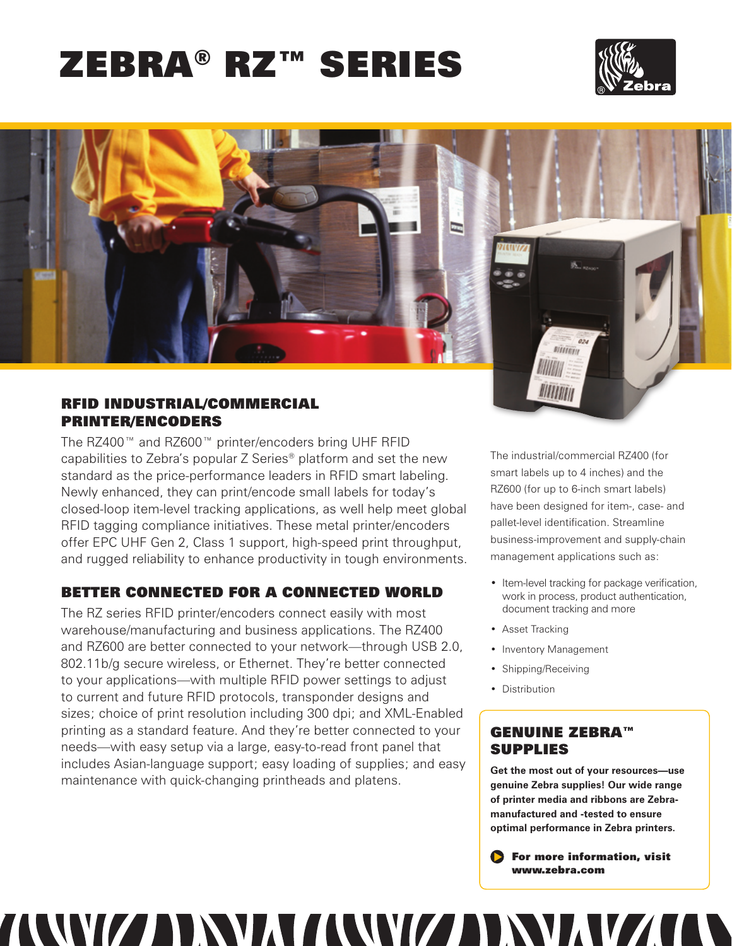# Zebra® RZ™ Series





## RFID Industrial/Commercial Printer/Encoders

The RZ400™ and RZ600™ printer/encoders bring UHF RFID capabilities to Zebra's popular Z Series® platform and set the new standard as the price-performance leaders in RFID smart labeling. Newly enhanced, they can print/encode small labels for today's closed-loop item-level tracking applications, as well help meet global RFID tagging compliance initiatives. These metal printer/encoders offer EPC UHF Gen 2, Class 1 support, high-speed print throughput, and rugged reliability to enhance productivity in tough environments.

# Better Connected for a Connected World

The RZ series RFID printer/encoders connect easily with most warehouse/manufacturing and business applications. The RZ400 and RZ600 are better connected to your network—through USB 2.0, 802.11b/g secure wireless, or Ethernet. They're better connected to your applications—with multiple RFID power settings to adjust to current and future RFID protocols, transponder designs and sizes; choice of print resolution including 300 dpi; and XML-Enabled printing as a standard feature. And they're better connected to your needs—with easy setup via a large, easy-to-read front panel that includes Asian-language support; easy loading of supplies; and easy maintenance with quick-changing printheads and platens.

TAAWIZ ADAMA TAAWIZ ADA

The industrial/commercial RZ400 (for smart labels up to 4 inches) and the RZ600 (for up to 6-inch smart labels) have been designed for item-, case- and pallet-level identification. Streamline business-improvement and supply-chain management applications such as:

- Item-level tracking for package verification, work in process, product authentication, document tracking and more
- Asset Tracking
- Inventory Management
- Shipping/Receiving
- Distribution

# genuine zebra™ supplies

**Get the most out of your resources—use genuine Zebra supplies! Our wide range of printer media and ribbons are Zebramanufactured and -tested to ensure optimal performance in Zebra printers.** 

For more information, visit www.zebra.com

**AV**